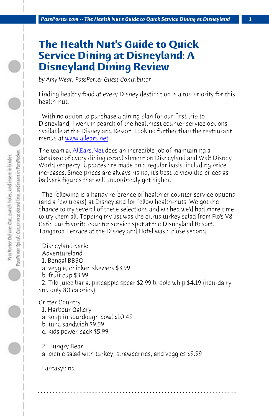*PassPort[er.com -- The Health](http://allears.net/dlr/dining/menus.htm) Nut's Guide to Quick Service Dining at Disneyland 1*

# **The Health Nut's Guide to Quick Service Dining at Disneyland: A Disneyland Dining Review**

*by Amy Wear, PassPorter Guest Contributor*

Finding healthy food at every Disney destination is a top priority for this health-nut.

 With no option to purchase a dining plan for our first trip to Disneyland, I went in search of the healthiest counter service options available at the Disneyland Resort. Look no further than the restaurant menus at www.allears.net.

The team at AllEars. Net does an incredible job of maintaining a database of every dining establishment on Disneyland and Walt Disney World property. Updates are made on a regular basis, including price increases. Since prices are always rising, it's best to view the prices as ballpark figures that will undoubtedly get higher.

 The following is a handy reference of healthier counter service options (and a few treats) at Disneyland for fellow health-nuts. We got the chance to try several of these selections and wished we'd had more time to try them all. Topping my list was the citrus turkey salad from Flo's V8 Cafe, our favorite counter service spot at the Disneyland Resort. Tangaroa Terrace at the Disneyland Hotel was a close second.

# Disneyland park:

- Adventureland
- 1. Bengal BBBQ
- a. veggie, chicken skewers \$3.99
- b. fruit cup \$3.99

 2. Tiki Juice bar a. pineapple spear \$2.99 b. dole whip \$4.19 (non-dairy and only 80 calories)

**. . . . . . . . . . . . . . . . . . . . . . . . . . . . . . . . . . . . . . . . . . . . . . . . . . . . . . . . . . . . . . . . . .**

## Critter Country

- 1. Harbour Gallery
- a. soup in sourdough bowl \$10.49
- b. tuna sandwich \$9.59
- c. kids power pack \$5.99
- 2. Hungry Bear
- a. picnic salad with turkey, strawberries, and veggies \$9.99

 Fantasyland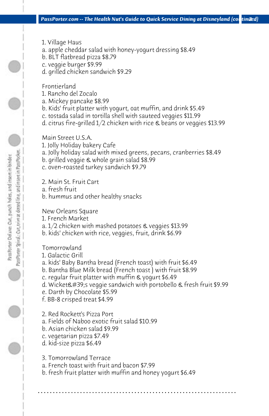- 1. Village Haus
- a. apple cheddar salad with honey-yogurt dressing \$8.49
- b. BLT flatbread pizza \$8.79
- c. veggie burger \$9.99
- d. grilled chicken sandwich \$9.29

 Frontierland

- 1. Rancho del Zocalo
- a. Mickey pancake \$8.99
- b. Kids' fruit platter with yogurt, oat muffin, and drink \$5.49
- c. tostada salad in tortilla shell with sauteed veggies \$11.99
- d. citrus fire-grilled 1/2 chicken with rice & beans or veggies \$13.99

 Main Street U.S.A.

- 1. Jolly Holiday bakery Cafe
- a. Jolly holiday salad with mixed greens, pecans, cranberries \$8.49
- b. grilled veggie & whole grain salad \$8.99
- c. oven-roasted turkey sandwich \$9.79
- 2. Main St. Fruit Cart
- a. fresh fruit

PassPrieter Spinal: Cort, trim at dotted line, and instert in Pass Pocket. Pass Porter Delaxe: Cut, panch holes, and insert in binder.

 b. hummus and other healthy snacks

 New Orleans Square

- 1. French Market
- a. 1/2 chicken with mashed potatoes & veggies \$13.99
- b. kids' chicken with rice, veggies, fruit, drink \$6.99

 Tomorrowland

- 1. Galactic Grill
- a. kids' Baby Bantha bread (French toast) with fruit \$6.49
- b. Bantha Blue Milk bread (French toast ) with fruit \$8.99
- c. regular fruit platter with muffin & yogurt \$6.49
- d. Wicket's veggie sandwich with portobello & fresh fruit \$9.99
- e. Darth by Chocolate \$5.99
- f. BB-8 crisped treat \$4.99
- 2. Red Rockett's Pizza Port
- a. Fields of Naboo exotic fruit salad \$10.99
- b. Asian chicken salad \$9.99
- c. vegetarian pizza \$7.49
- d. kid-size pizza \$6.49
- 3. Tomorrowland Terrace
- a. French toast with fruit and bacon \$7.99
- b. fresh fruit platter with muffin and honey yogurt \$6.49

**. . . . . . . . . . . . . . . . . . . . . . . . . . . . . . . . . . . . . . . . . . . . . . . . . . . . . . . . . . . . . . . . . .**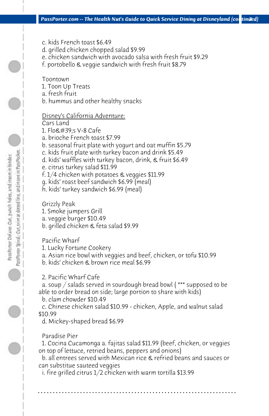- c. kids French toast \$6.49
- d. grilled chicken chopped salad \$9.99
- e. chicken sandwich with avocado salsa with fresh fruit \$9.29
- f. portobello & veggie sandwich with fresh fruit \$8.79

 Toontown

- 1. Toon Up Treats
- a. fresh fruit
- b. hummus and other healthy snacks

# Disney's California Adventure:

 Cars Land

- 1. Flo&#39:s V-8 Cafe
- a. brioche French toast \$7.99
- b. seasonal fruit plate with yogurt and oat muffin \$5.79
- c. kids fruit plate with turkey bacon and drink \$5.49
- d. kids' waffles with turkey bacon, drink, & fruit \$6.49
- e. citrus turkey salad \$11.99
- f. 1/4 chicken with potatoes & veggies \$11.99
- g. kids' roast beef sandwich \$6.99 (meal)
- h. kids' turkey sandwich \$6.99 (meal)

 Grizzly Peak

- 1. Smoke jumpers Grill
- a. veggie burger \$10.49
- b. grilled chicken & feta salad \$9.99

 Pacific Wharf

- 1. Lucky Fortune Cookery
- a. Asian rice bowl with veggies and beef, chicken, or tofu \$10.99
- b. kids' chicken & brown rice meal \$6.99
- 2. Pacific Wharf Cafe

 a. soup / salads served in sourdough bread bowl ( \*\*\* supposed to be able to order bread on side; large portion to share with kids)

 b. clam chowder \$10.49

 c. Chinese chicken salad \$10.99 - chicken, Apple, and walnut salad \$10.99

 d. Mickey-shaped bread \$6.99

# Paradise Pier

 1. Cocina Cucamonga a. fajitas salad \$11.99 (beef, chicken, or veggies on top of lettuce, retried beans, peppers and onions)

 b. all entrees served with Mexican rice & refried beans and sauces or can substitue sauteed veggies

**. . . . . . . . . . . . . . . . . . . . . . . . . . . . . . . . . . . . . . . . . . . . . . . . . . . . . . . . . . . . . . . . . .**

 i. fire grilled citrus 1/2 chicken with warm tortilla \$13.99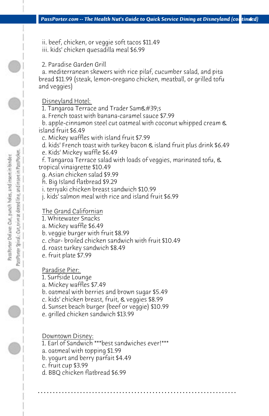- ii. beef, chicken, or veggie soft tacos \$11.49 iii. kids' chicken quesadilla meal \$6.99
- 2. Paradise Garden Grill

 a. mediterranean skewers with rice pilaf, cucumber salad, and pita bread \$11.99 (steak, lemon-oregano chicken, meatball, or grilled tofu and veggies)

### Disneyland Hotel:

- 1. Tangaroa Terrace and Trader Sam $\&\#39$ ;s
- a. French toast with banana-caramel sauce \$7.99

 b. apple-cinnamon steel cut oatmeal with coconut whipped cream & island fruit \$6.49

- c. Mickey waffles with island fruit \$7.99
- d. kids' French toast with turkey bacon & island fruit plus drink \$6.49
- e. Kids' Mickey waffle \$6.49

 f. Tangaroa Terrace salad with loads of veggies, marinated tofu, & tropical vinaigrette \$10.49

- g. Asian chicken salad \$9.99
- h. Big Island flatbread \$9.29
- i. teriyaki chicken breast sandwich \$10.99
- j. kids' salmon meal with rice and island fruit \$6.99

### The Grand Californian

- 1. Whitewater Snacks
- a. Mickey waffle \$6.49
- b. veggie burger with fruit \$8.99
- c. char- broiled chicken sandwich with fruit \$10.49
- d. roast turkey sandwich \$8.49
- e. fruit plate \$7.99

## Paradise Pier:

- 1. Surfside Lounge
- a. Mickey waffles \$7.49
- b. oatmeal with berries and brown sugar \$5.49
- c. kids' chicken breast, fruit, & veggies \$8.99
- d. Sunset beach burger (beef or veggie) \$10.99
- e. grilled chicken sandwich \$13.99

 Downtown Disney:

 1. Earl of Sandwich \*\*\*best sandwiches ever!\*\*\*

**. . . . . . . . . . . . . . . . . . . . . . . . . . . . . . . . . . . . . . . . . . . . . . . . . . . . . . . . . . . . . . . . . .**

- a. oatmeal with topping \$1.99
- b. yogurt and berry parfait \$4.49
- c. fruit cup \$3.99
- d. BBQ chicken flatbread \$6.99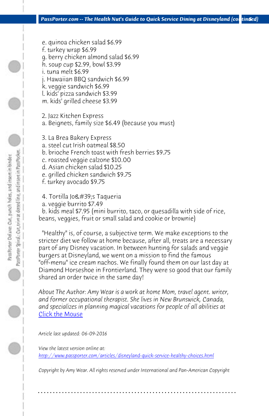*PassPorter.com -- The Health Nut's Guide to Quick Service Dining at Disneyland (continued)* 

- e. quinoa chicken salad \$6.99
- f. turkey wrap \$6.99
- g. berry chicken almond salad \$6.99
- h. soup cup \$2.99, bowl \$3.99
- i. tuna melt \$6.99
- j. Hawaiian BBQ sandwich \$6.99
- k. veggie sandwich \$6.99
- l. kids' pizza sandwich \$3.99 m. kids' grilled cheese \$3.99
- 2. Jazz Kitchen Express a. Beignets, family size \$6.49 (because you must)
- 3. La Brea Bakery Express
- a. steel cut Irish oatmeal \$8.50
- b. brioche French toast with fresh berries \$9.75
- c. roasted veggie calzone \$10.00
- d. Asian chicken salad \$10.25
- e. grilled chicken sandwich \$9.75
- f. turkey avocado \$9.75
- 4. Tortilla Jo's Taqueria
- a. veggie burrito \$7.49

 b. kids meal \$7.95 (mini burrito, taco, or quesadilla with side of rice, beans, veggies, fruit or small salad and cookie or brownie)

 ["Healthy" is, of course, a subjective term. We make exceptions t](http://www.passporter.com/articles/disneyland-quick-service-healthy-choices.php)o the stricter diet we follow at home because, after all, treats are a necessary part of any Disney vacation. In between hunting for salads and veggie burgers at Disneyland, we went on a mission to find the famous "off-menu" ice cream nachos. We finally found them on our last day at Diamond Horseshoe in Frontierland. They were so good that our family shared an order twice in the same day!

*About The Author: Amy Wear is a work at home Mom, travel agent. writer, and former occupational therapist. She lives in New Brunswick, Canada, and specializes in planning magical vacations for people of all abilities at*  Click the Mouse

*Article last updated: 06-09-2016*

*View the latest version online at: http://www.passporter.com/articles/disneyland-quick-service-healthy-choices.html*

*Copyright by Amy Wear. All rights reserved under International and Pan-American Copyright*

**. . . . . . . . . . . . . . . . . . . . . . . . . . . . . . . . . . . . . . . . . . . . . . . . . . . . . . . . . . . . . . . . . .**